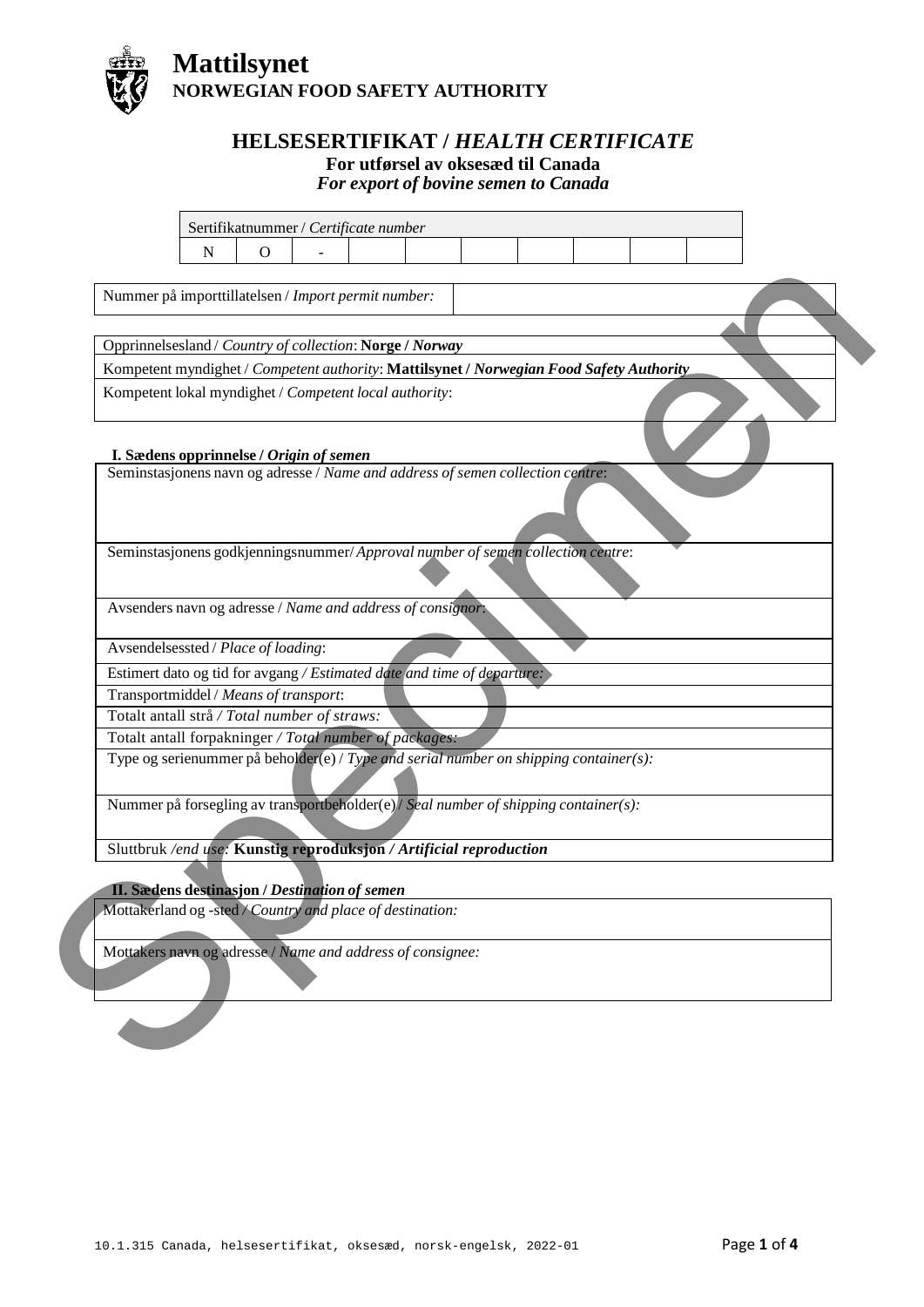

## **HELSESERTIFIKAT /** *HEALTH CERTIFICATE*

## **For utførsel av oksesæd til Canada**

*For export of bovine semen to Canada*

| Seminstasjonens navn og adresse / Name and address of semen collection centre: | Opprinnelsesland / Country of collection: Norge / Norway<br>Kompetent myndighet / Competent authority: Mattilsynet / Norwegian Food Safety Authority<br>Kompetent lokal myndighet / Competent local authority: |  |  |  |
|--------------------------------------------------------------------------------|----------------------------------------------------------------------------------------------------------------------------------------------------------------------------------------------------------------|--|--|--|
|                                                                                |                                                                                                                                                                                                                |  |  |  |
|                                                                                |                                                                                                                                                                                                                |  |  |  |
|                                                                                | I. Sædens opprinnelse / Origin of semen                                                                                                                                                                        |  |  |  |
|                                                                                |                                                                                                                                                                                                                |  |  |  |
|                                                                                | Seminstasjonens godkjenningsnummer/Approval number of semen collection centre:                                                                                                                                 |  |  |  |
|                                                                                | Avsenders navn og adresse / Name and address of consignor:                                                                                                                                                     |  |  |  |
|                                                                                | Avsendelsessted / Place of loading:                                                                                                                                                                            |  |  |  |
|                                                                                | Estimert dato og tid for avgang / Estimated date and time of departure:                                                                                                                                        |  |  |  |
|                                                                                | Transportmiddel / Means of transport:                                                                                                                                                                          |  |  |  |
|                                                                                | Totalt antall strå / Total number of straws:                                                                                                                                                                   |  |  |  |
|                                                                                | Totalt antall forpakninger / Total number of packages:                                                                                                                                                         |  |  |  |
|                                                                                | Type og serienummer på beholder(e) / Type and serial number on shipping container(s):                                                                                                                          |  |  |  |
|                                                                                | Nummer på forsegling av transportbeholder(e)/ Seal number of shipping container(s):                                                                                                                            |  |  |  |
|                                                                                | Sluttbruk /end use: Kunstig reproduksjon / Artificial reproduction                                                                                                                                             |  |  |  |
|                                                                                | II. Sædens destinasjon / Destination of semen                                                                                                                                                                  |  |  |  |
|                                                                                | Mottakerland og -sted / Country and place of destination:                                                                                                                                                      |  |  |  |
|                                                                                | Mottakers navn og adresse / Name and address of consignee:                                                                                                                                                     |  |  |  |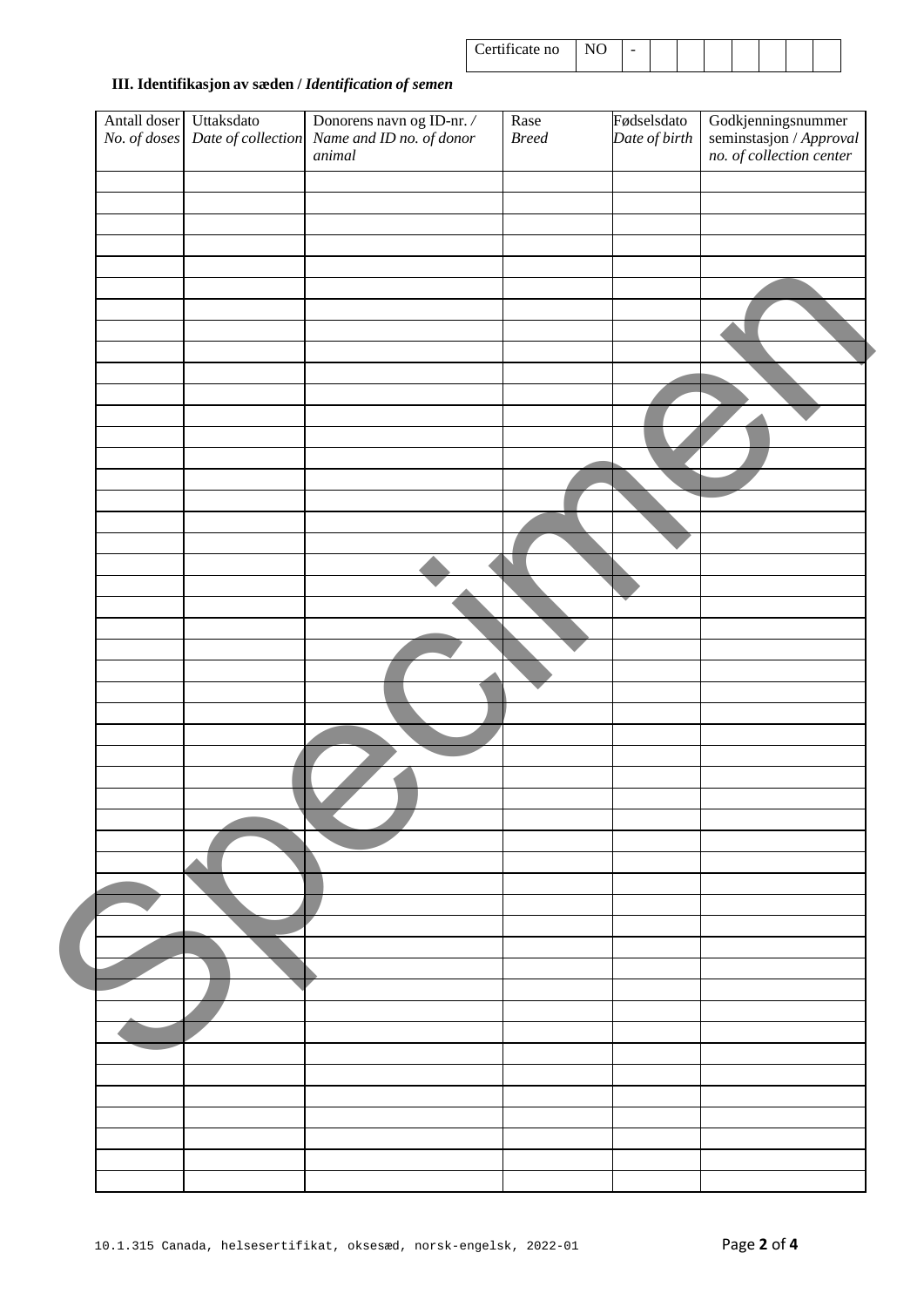| Certificate no | - |  |  |  |  |
|----------------|---|--|--|--|--|
|                |   |  |  |  |  |

## **III. Identifikasjon av sæden /** *Identification of semen*

| Antall doser<br>No. of doses | Uttaksdato<br>Date of collection | Donorens navn og ID-nr. /<br>Name and ID no. of donor<br>animal | Rase<br>$Breed$ | Fødselsdato<br>Date of birth | Godkjenningsnummer<br>seminstasjon / Approval<br>no. of collection center |
|------------------------------|----------------------------------|-----------------------------------------------------------------|-----------------|------------------------------|---------------------------------------------------------------------------|
|                              |                                  |                                                                 |                 |                              |                                                                           |
|                              |                                  |                                                                 |                 |                              |                                                                           |
|                              |                                  |                                                                 |                 |                              |                                                                           |
|                              |                                  |                                                                 |                 |                              |                                                                           |
|                              |                                  |                                                                 |                 |                              |                                                                           |
|                              |                                  |                                                                 |                 |                              |                                                                           |
|                              |                                  |                                                                 |                 |                              |                                                                           |
|                              |                                  |                                                                 |                 |                              |                                                                           |
|                              |                                  |                                                                 |                 |                              |                                                                           |
|                              |                                  |                                                                 |                 |                              |                                                                           |
|                              |                                  |                                                                 |                 |                              |                                                                           |
|                              |                                  |                                                                 |                 |                              |                                                                           |
|                              |                                  |                                                                 |                 |                              |                                                                           |
|                              |                                  |                                                                 |                 |                              |                                                                           |
|                              |                                  |                                                                 |                 |                              |                                                                           |
|                              |                                  |                                                                 |                 |                              |                                                                           |
|                              |                                  |                                                                 |                 |                              |                                                                           |
|                              |                                  |                                                                 |                 |                              |                                                                           |
|                              |                                  |                                                                 |                 |                              |                                                                           |
|                              |                                  |                                                                 |                 |                              |                                                                           |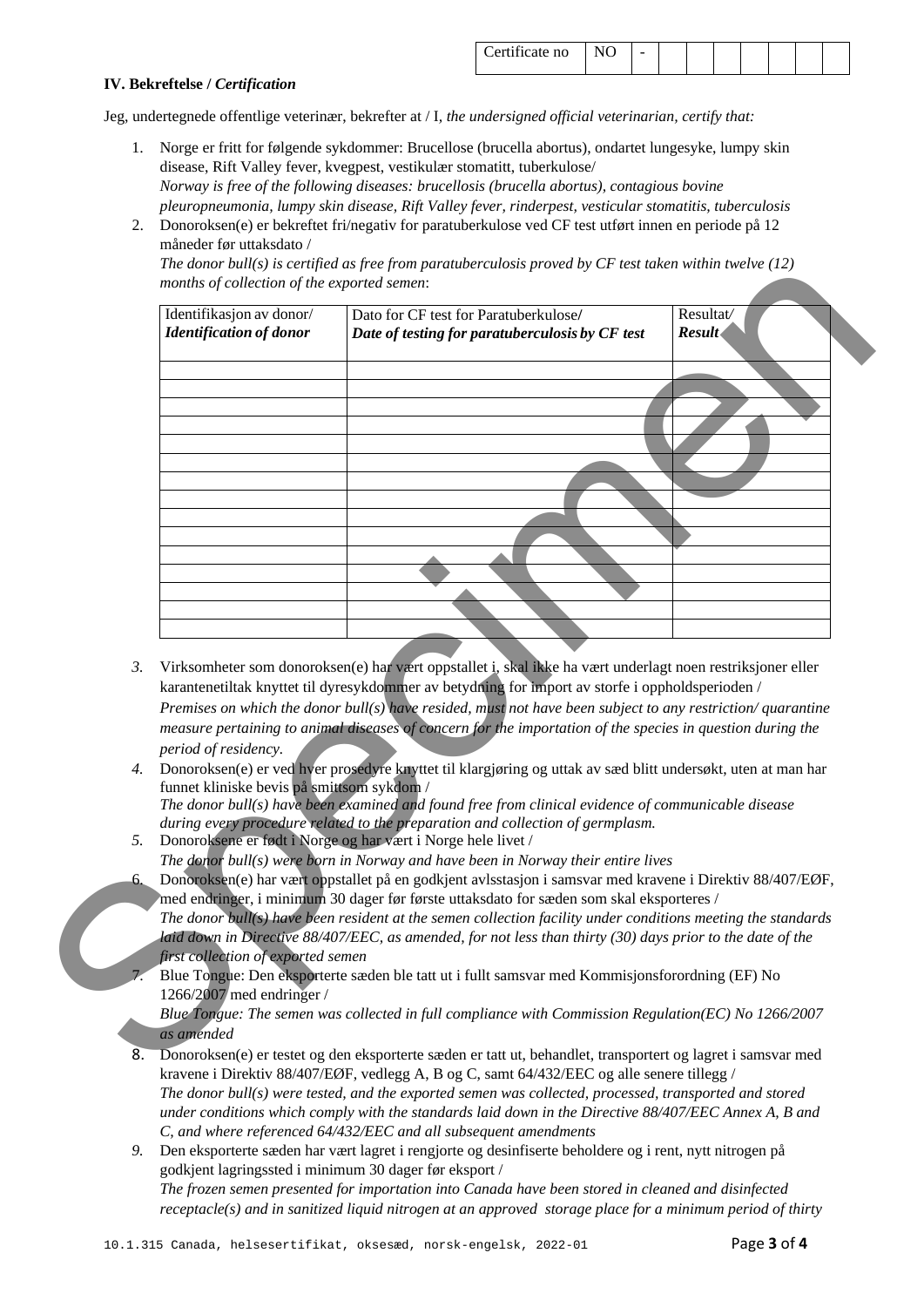| Certificate no |  |  |  |  |  |
|----------------|--|--|--|--|--|
|                |  |  |  |  |  |

## **IV. Bekreftelse /** *Certification*

Jeg, undertegnede offentlige veterinær, bekrefter at / I*, the undersigned official veterinarian, certify that:*

- 1. Norge er fritt for følgende sykdommer: Brucellose (brucella abortus), ondartet lungesyke, lumpy skin disease, Rift Valley fever, kvegpest, vestikulær stomatitt, tuberkulose/ *Norway is free of the following diseases: brucellosis (brucella abortus), contagious bovine pleuropneumonia, lumpy skin disease, Rift Valley fever, rinderpest, vesticular stomatitis, tuberculosis*
- 2. Donoroksen(e) er bekreftet fri/negativ for paratuberkulose ved CF test utført innen en periode på 12 måneder før uttaksdato /

*The donor bull(s) is certified as free from paratuberculosis proved by CF test taken within twelve (12) months of collection of the exported semen*:

|    | Identifikasjon av donor/                   | Dato for CF test for Paratuberkulose/                                                                           | Resultat/ |
|----|--------------------------------------------|-----------------------------------------------------------------------------------------------------------------|-----------|
|    | <b>Identification of donor</b>             | Date of testing for paratuberculosis by CF test                                                                 | Result    |
|    |                                            |                                                                                                                 |           |
|    |                                            |                                                                                                                 |           |
|    |                                            |                                                                                                                 |           |
|    |                                            |                                                                                                                 |           |
|    |                                            |                                                                                                                 |           |
|    |                                            |                                                                                                                 |           |
|    |                                            |                                                                                                                 |           |
|    |                                            |                                                                                                                 |           |
|    |                                            |                                                                                                                 |           |
|    |                                            |                                                                                                                 |           |
| 3. |                                            | Virksomheter som donoroksen(e) har vært oppstallet i, skal ikke ha vært underlagt noen restriksjoner eller      |           |
|    |                                            | karantenetiltak knyttet til dyresykdommer av betydning for import av storfe i oppholdsperioden /                |           |
|    |                                            | Premises on which the donor bull(s) have resided, must not have been subject to any restriction/quarantine      |           |
|    |                                            | measure pertaining to animal diseases of concern for the importation of the species in question during the      |           |
|    | period of residency.                       |                                                                                                                 |           |
| 4. |                                            | Donoroksen(e) er ved hver prosedyre knyttet til klargjøring og uttak av sæd blitt undersøkt, uten at man har    |           |
|    | funnet kliniske bevis på smittsom sykdom / |                                                                                                                 |           |
|    |                                            | The donor $bull(s)$ have been examined and found free from clinical evidence of communicable disease            |           |
| 5. |                                            | during every procedure related to the preparation and collection of germplasm.                                  |           |
|    |                                            | Donoroksene er født i Norge og har vært i Norge hele livet /                                                    |           |
|    |                                            | The donor bull(s) were born in Norway and have been in Norway their entire lives                                |           |
| 6. |                                            | Donoroksen(e) har vært oppstallet på en godkjent avlsstasjon i samsvar med kravene i Direktiv 88/407/EØF,       |           |
|    |                                            | med endringer, i minimum 30 dager før første uttaksdato for sæden som skal eksporteres /                        |           |
|    |                                            | The donor bull(s) have been resident at the semen collection facility under conditions meeting the standards    |           |
|    |                                            | laid down in Directive 88/407/EEC, as amended, for not less than thirty (30) days prior to the date of the      |           |
|    | first collection of exported semen         |                                                                                                                 |           |
|    |                                            | Blue Tongue: Den eksporterte sæden ble tatt ut i fullt samsvar med Kommisjonsforordning (EF) No                 |           |
|    | 1266/2007 med endringer /                  |                                                                                                                 |           |
|    |                                            | Blue Tongue: The semen was collected in full compliance with Commission Regulation(EC) No $1266/2007$           |           |
|    |                                            |                                                                                                                 |           |
|    | as amended                                 |                                                                                                                 |           |
|    |                                            | 8. Donoroksen(e) er testet og den eksporterte sæden er tatt ut, behandlet, transportert og lagret i samsvar med |           |

- *3.* Virksomheter som donoroksen(e) har vært oppstallet i, skal ikke ha vært underlagt noen restriksjoner eller karantenetiltak knyttet til dyresykdommer av betydning for import av storfe i oppholdsperioden / *Premises on which the donor bull(s) have resided, must not have been subject to any restriction/ quarantine measure pertaining to animal diseases of concern for the importation of the species in question during the period of residency.*
- *4.* Donoroksen(e) er ved hver prosedyre knyttet til klargjøring og uttak av sæd blitt undersøkt, uten at man har funnet kliniske bevis på smittsom sykdom /

- *5.* Donoroksene er født i Norge og har vært i Norge hele livet /
- *The donor bull(s) were born in Norway and have been in Norway their entire lives* 6. Donoroksen(e) har vært oppstallet på en godkjent avlsstasjon i samsvar med kravene i Direktiv 88/407/EØF,
- med endringer, i minimum 30 dager før første uttaksdato for sæden som skal eksporteres / *The donor bull(s) have been resident at the semen collection facility under conditions meeting the standards laid down in Directive 88/407/EEC, as amended, for not less than thirty (30) days prior to the date of the first collection of exported semen*
- 7. Blue Tongue: Den eksporterte sæden ble tatt ut i fullt samsvar med Kommisjonsforordning (EF) No 1266/2007 med endringer /

- 8. Donoroksen(e) er testet og den eksporterte sæden er tatt ut, behandlet, transportert og lagret i samsvar med kravene i Direktiv 88/407/EØF, vedlegg A, B og C, samt 64/432/EEC og alle senere tillegg / *The donor bull(s) were tested, and the exported semen was collected, processed, transported and stored under conditions which comply with the standards laid down in the Directive 88/407/EEC Annex A, B and C, and where referenced 64/432/EEC and all subsequent amendments*
- *9.* Den eksporterte sæden har vært lagret i rengjorte og desinfiserte beholdere og i rent, nytt nitrogen på godkjent lagringssted i minimum 30 dager før eksport / *The frozen semen presented for importation into Canada have been stored in cleaned and disinfected receptacle(s) and in sanitized liquid nitrogen at an approved storage place for a minimum period of thirty*